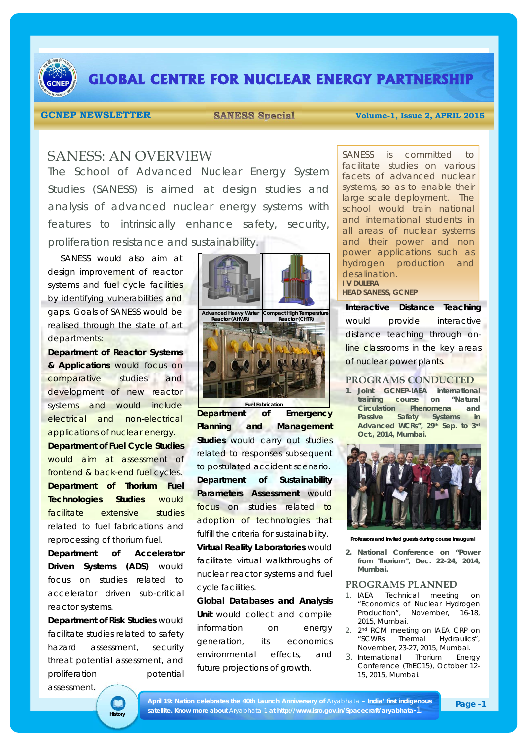

# **GLOBAL CENTRE FOR NUCLEAR ENERGY PARTNERSHIP**

**GCNEP NEWSLETTER SANESS Special Volume-1, Issue 2, APRIL 2015** 

## SANESS: AN OVERVIEW

The School of Advanced Nuclear Energy System Studies (SANESS) is aimed at design studies and analysis of advanced nuclear energy systems with features to intrinsically enhance safety, security, proliferation resistance and sustainability.

SANESS would also aim at design improvement of reactor systems and fuel cycle facilities by identifying vulnerabilities and gaps. Goals of SANESS would be realised through the state of art departments:

**Department of Reactor Systems & Applications** would focus on comparative studies and development of new reactor systems and would include electrical and non-electrical applications of nuclear energy. **Department of Fuel Cycle Studies**

would aim at assessment of frontend & back-end fuel cycles. **Department of Thorium Fuel Technologies Studies** would facilitate extensive studies related to fuel fabrications and reprocessing of thorium fuel.

**Department of Accelerator Driven Systems (ADS)** would focus on studies related to accelerator driven sub-critical reactor systems.

**Department of Risk Studies** would facilitate studies related to safety hazard assessment, security threat potential assessment, and proliferation potential assessment.

**History**

D



**Department of Emergency Planning and Management Studies** would carry out studies related to responses subsequent to postulated accident scenario. **Department of Sustainability Parameters Assessment** would focus on studies related to adoption of technologies that fulfill the criteria for sustainability.

**Virtual Reality Laboratories** would facilitate virtual walkthroughs of nuclear reactor systems and fuel cycle facilities.

**Global Databases and Analysis Unit** would collect and compile information on energy generation, its economics environmental effects, and future projections of growth.

SANESS is committed to facilitate studies on various facets of advanced nuclear systems, so as to enable their large scale deployment. The school would train national and international students in all areas of nuclear systems and their power and non power applications such as hydrogen production and desalination. **I V DULERA** 

**HEAD SANESS, GCNEP** 

**Interactive Distance Teaching**  would provide interactive distance teaching through online classrooms in the key areas of nuclear power plants.

#### **PROGRAMS CONDUCTED**

**1. Joint GCNEP-IAEA international training course on "Natural Circulation Phenomena and Passive Safety Systems in Advanced WCRs", 29th Sep. to 3rd Oct., 2014, Mumbai.**



**Professors and invited guests during course inaugural** 

**2. National Conference on "Power from Thorium", Dec. 22-24, 2014, Mumbai.**

### **PROGRAMS PLANNED**

- 1. IAEA Technical meeting on "Economics of Nuclear Hydrogen Production", November, 16-18, 2015, Mumbai.
- 2. 2nd RCM meeting on IAEA CRP on "SCWRs Thermal Hydraulics", November, 23-27, 2015, Mumbai.
- 3. International Thorium Energy Conference (ThEC15), October 12- 15, 2015, Mumbai.

**April 19: Nation celebrates the 40th Launch Anniversary of** *Aryabhata* **– India' first indigenous satellite. Know more about** *Aryabhata-1* **at http://www.isro.gov.in/Spacecraft/aryabhata**-1**.**